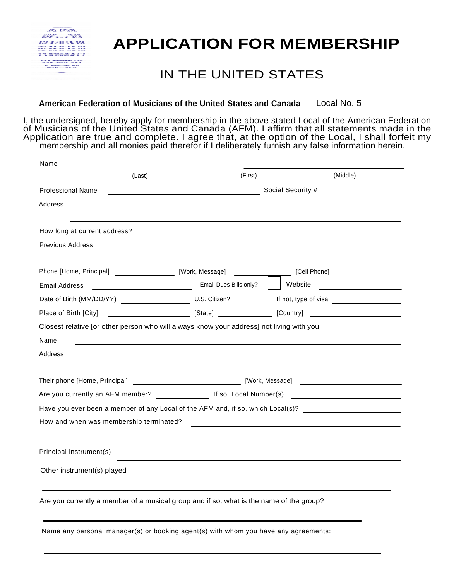

## **APPLICATION FOR MEMBERSHIP**

## IN THE UNITED STATES

**American Federation of Musicians of the United States and Canada** Local No. 5

I, the undersigned, hereby apply for membership in the above stated Local of the American Federation of Musicians of the United States and Canada (AFM). I affirm that all statements made in the Application are true and complete. I agree that, at the option of the Local, I shall forfeit my membership and all monies paid therefor if I deliberately furnish any false information herein.

| Name                                    |                                                                                           |                                                                                                                |
|-----------------------------------------|-------------------------------------------------------------------------------------------|----------------------------------------------------------------------------------------------------------------|
| (Last)                                  | (First)                                                                                   | (Middle)                                                                                                       |
| <b>Professional Name</b>                | <u> 1980 - Johann Barn, mars eta bainar eta idazlea (</u>                                 | Social Security #                                                                                              |
| Address                                 |                                                                                           |                                                                                                                |
| How long at current address?            | <u> 1989 - Andrea Stadt Britain, amerikansk politik (d. 1989)</u>                         |                                                                                                                |
| <b>Previous Address</b>                 |                                                                                           |                                                                                                                |
|                                         |                                                                                           | Phone [Home, Principal] ______________________ [Work, Message] __________________ [Cell Phone] _______________ |
| Email Address                           | Email Dues Bills only?                                                                    | Website <u>_________________</u>                                                                               |
|                                         |                                                                                           |                                                                                                                |
| Place of Birth [City]                   |                                                                                           | $[State]$ $[Counter]$ $[Country]$                                                                              |
|                                         | Closest relative [or other person who will always know your address] not living with you: |                                                                                                                |
| Name                                    |                                                                                           | ,我们也不会有什么。""我们的人,我们也不会有什么?""我们的人,我们也不会有什么?""我们的人,我们也不会有什么?""我们的人,我们也不会有什么?""我们的人                               |
| Address                                 |                                                                                           |                                                                                                                |
|                                         |                                                                                           |                                                                                                                |
|                                         |                                                                                           |                                                                                                                |
|                                         |                                                                                           | Are you currently an AFM member? _________________ If so, Local Number(s) __________________________           |
|                                         |                                                                                           | Have you ever been a member of any Local of the AFM and, if so, which Local(s)?                                |
| How and when was membership terminated? |                                                                                           |                                                                                                                |
| Principal instrument(s)                 |                                                                                           |                                                                                                                |
| Other instrument(s) played              |                                                                                           |                                                                                                                |
|                                         | Are you currently a member of a musical group and if so, what is the name of the group?   |                                                                                                                |
|                                         |                                                                                           |                                                                                                                |
|                                         |                                                                                           |                                                                                                                |

Name any personal manager(s) or booking agent(s) with whom you have any agreements: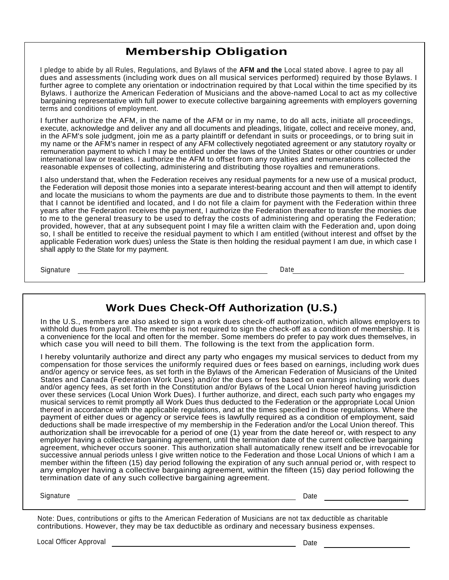## **Membership Obligation**

I pledge to abide by all Rules, Regulations, and Bylaws of the **AFM and the** Local stated above. I agree to pay all dues and assessments (including work dues on all musical services performed) required by those Bylaws. I further agree to complete any orientation or indoctrination required by that Local within the time specified by its Bylaws. I authorize the American Federation of Musicians and the above-named Local to act as my collective bargaining representative with full power to execute collective bargaining agreements with employers governing terms and conditions of employment.

I further authorize the AFM, in the name of the AFM or in my name, to do all acts, initiate all proceedings, execute, acknowledge and deliver any and all documents and pleadings, litigate, collect and receive money, and, in the AFM's sole judgment, join me as a party plaintiff or defendant in suits or proceedings, or to bring suit in my name or the AFM's namer in respect of any AFM collectively negotiated agreement or any statutory royalty or remuneration payment to which I may be entitled under the laws of the United States or other countries or under international law or treaties. I authorize the AFM to offset from any royalties and remunerations collected the reasonable expenses of collecting, administering and distributing those royalties and remunerations.

I also understand that, when the Federation receives any residual payments for a new use of a musical product, the Federation will deposit those monies into a separate interest-bearing account and then will attempt to identify and locate the musicians to whom the payments are due and to distribute those payments to them. In the event that I cannot be identified and located, and I do not file a claim for payment with the Federation within three years after the Federation receives the payment, I authorize the Federation thereafter to transfer the monies due to me to the general treasury to be used to defray the costs of administering and operating the Federation; provided, however, that at any subsequent point I may file a written claim with the Federation and, upon doing so, I shall be entitled to receive the residual payment to which I am entitled (without interest and offset by the applicable Federation work dues) unless the State is then holding the residual payment I am due, in which case I shall apply to the State for my payment.

Signature Date

## **Work Dues Check-Off Authorization (U.S.)**

In the U.S., members are also asked to sign a work dues check-off authorization, which allows employers to withhold dues from payroll. The member is not required to sign the check-off as a condition of membership. It is a convenience for the local and often for the member. Some members do prefer to pay work dues themselves, in which case you will need to bill them. The following is the text from the application form.

I hereby voluntarily authorize and direct any party who engages my musical services to deduct from my compensation for those services the uniformly required dues or fees based on earnings, including work dues and/or agency or service fees, as set forth in the Bylaws of the American Federation of Musicians of the United States and Canada (Federation Work Dues) and/or the dues or fees based on earnings including work dues and/or agency fees, as set forth in the Constitution and/or Bylaws of the Local Union hereof having jurisdiction over these services (Local Union Work Dues). I further authorize, and direct, each such party who engages my musical services to remit promptly all Work Dues thus deducted to the Federation or the appropriate Local Union thereof in accordance with the applicable regulations, and at the times specified in those regulations. Where the payment of either dues or agency or service fees is lawfully required as a condition of employment, said deductions shall be made irrespective of my membership in the Federation and/or the Local Union thereof. This authorization shall be irrevocable for a period of one (1) year from the date hereof or, with respect to any employer having a collective bargaining agreement, until the termination date of the current collective bargaining agreement, whichever occurs sooner. This authorization shall automatically renew itself and be irrevocable for successive annual periods unless I give written notice to the Federation and those Local Unions of which I am a member within the fifteen (15) day period following the expiration of any such annual period or, with respect to any employer having a collective bargaining agreement, within the fifteen (15) day period following the termination date of any such collective bargaining agreement.

Signature Date Date Communications and the Date Date Date Date Date Date Date

Note: Dues, contributions or gifts to the American Federation of Musicians are not tax deductible as charitable contributions. However, they may be tax deductible as ordinary and necessary business expenses.

Local Officer Approval Date